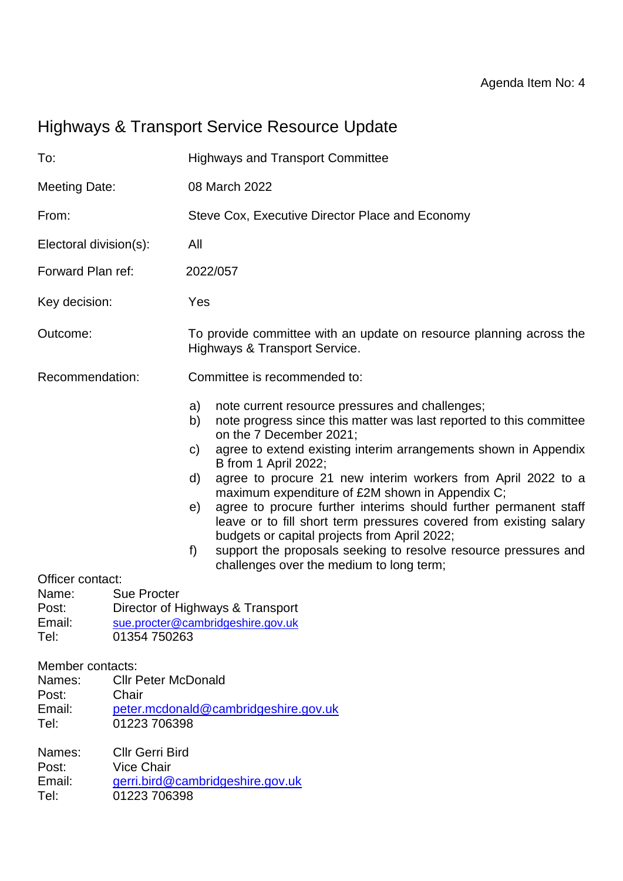# Highways & Transport Service Resource Update

| To:                                                                                                                                                                                                                    |                                                        | <b>Highways and Transport Committee</b>                                                              |                                                                                                                                                                                                                                                                                                                                                                                                                                                                                                                                                                                                                                                                          |  |  |  |  |  |  |  |
|------------------------------------------------------------------------------------------------------------------------------------------------------------------------------------------------------------------------|--------------------------------------------------------|------------------------------------------------------------------------------------------------------|--------------------------------------------------------------------------------------------------------------------------------------------------------------------------------------------------------------------------------------------------------------------------------------------------------------------------------------------------------------------------------------------------------------------------------------------------------------------------------------------------------------------------------------------------------------------------------------------------------------------------------------------------------------------------|--|--|--|--|--|--|--|
| <b>Meeting Date:</b>                                                                                                                                                                                                   |                                                        | 08 March 2022                                                                                        |                                                                                                                                                                                                                                                                                                                                                                                                                                                                                                                                                                                                                                                                          |  |  |  |  |  |  |  |
| From:                                                                                                                                                                                                                  |                                                        | Steve Cox, Executive Director Place and Economy                                                      |                                                                                                                                                                                                                                                                                                                                                                                                                                                                                                                                                                                                                                                                          |  |  |  |  |  |  |  |
| Electoral division(s):                                                                                                                                                                                                 |                                                        | All                                                                                                  |                                                                                                                                                                                                                                                                                                                                                                                                                                                                                                                                                                                                                                                                          |  |  |  |  |  |  |  |
| Forward Plan ref:                                                                                                                                                                                                      |                                                        | 2022/057                                                                                             |                                                                                                                                                                                                                                                                                                                                                                                                                                                                                                                                                                                                                                                                          |  |  |  |  |  |  |  |
| Key decision:                                                                                                                                                                                                          |                                                        | Yes                                                                                                  |                                                                                                                                                                                                                                                                                                                                                                                                                                                                                                                                                                                                                                                                          |  |  |  |  |  |  |  |
| Outcome:                                                                                                                                                                                                               |                                                        | To provide committee with an update on resource planning across the<br>Highways & Transport Service. |                                                                                                                                                                                                                                                                                                                                                                                                                                                                                                                                                                                                                                                                          |  |  |  |  |  |  |  |
| Recommendation:                                                                                                                                                                                                        |                                                        | Committee is recommended to:                                                                         |                                                                                                                                                                                                                                                                                                                                                                                                                                                                                                                                                                                                                                                                          |  |  |  |  |  |  |  |
| Officer contact:<br>Name:<br>Post:                                                                                                                                                                                     | <b>Sue Procter</b><br>Director of Highways & Transport | a)<br>b)<br>C)<br>d)<br>e)<br>f)                                                                     | note current resource pressures and challenges;<br>note progress since this matter was last reported to this committee<br>on the 7 December 2021;<br>agree to extend existing interim arrangements shown in Appendix<br>B from 1 April 2022;<br>agree to procure 21 new interim workers from April 2022 to a<br>maximum expenditure of £2M shown in Appendix C;<br>agree to procure further interims should further permanent staff<br>leave or to fill short term pressures covered from existing salary<br>budgets or capital projects from April 2022;<br>support the proposals seeking to resolve resource pressures and<br>challenges over the medium to long term; |  |  |  |  |  |  |  |
| Email:<br>Tel:                                                                                                                                                                                                         | sue.procter@cambridgeshire.gov.uk<br>01354 750263      |                                                                                                      |                                                                                                                                                                                                                                                                                                                                                                                                                                                                                                                                                                                                                                                                          |  |  |  |  |  |  |  |
| Member contacts:<br>Names:<br><b>Cllr Peter McDonald</b><br>Post:<br>Chair<br>Email:<br>peter.mcdonald@cambridgeshire.gov.uk<br>01223 706398<br>Tel:<br><b>Cllr Gerri Bird</b><br>Names:<br><b>Vice Chair</b><br>Post: |                                                        |                                                                                                      |                                                                                                                                                                                                                                                                                                                                                                                                                                                                                                                                                                                                                                                                          |  |  |  |  |  |  |  |
| Email:<br>Tel:                                                                                                                                                                                                         | 01223 706398                                           |                                                                                                      | gerri.bird@cambridgeshire.gov.uk                                                                                                                                                                                                                                                                                                                                                                                                                                                                                                                                                                                                                                         |  |  |  |  |  |  |  |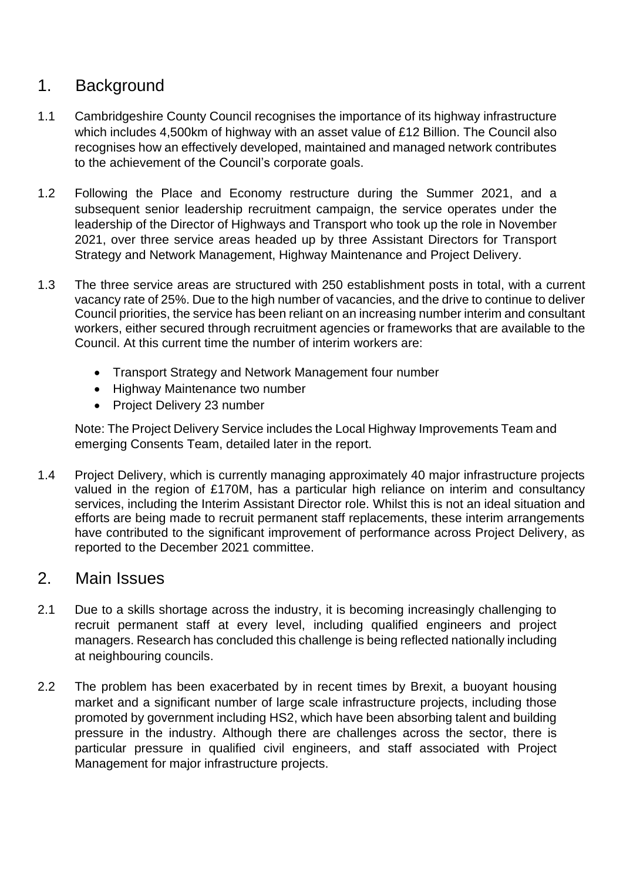# 1. Background

- 1.1 Cambridgeshire County Council recognises the importance of its highway infrastructure which includes 4,500km of highway with an asset value of £12 Billion. The Council also recognises how an effectively developed, maintained and managed network contributes to the achievement of the Council's corporate goals.
- 1.2 Following the Place and Economy restructure during the Summer 2021, and a subsequent senior leadership recruitment campaign, the service operates under the leadership of the Director of Highways and Transport who took up the role in November 2021, over three service areas headed up by three Assistant Directors for Transport Strategy and Network Management, Highway Maintenance and Project Delivery.
- 1.3 The three service areas are structured with 250 establishment posts in total, with a current vacancy rate of 25%. Due to the high number of vacancies, and the drive to continue to deliver Council priorities, the service has been reliant on an increasing number interim and consultant workers, either secured through recruitment agencies or frameworks that are available to the Council. At this current time the number of interim workers are:
	- Transport Strategy and Network Management four number
	- Highway Maintenance two number
	- Project Delivery 23 number

Note: The Project Delivery Service includes the Local Highway Improvements Team and emerging Consents Team, detailed later in the report.

1.4 Project Delivery, which is currently managing approximately 40 major infrastructure projects valued in the region of £170M, has a particular high reliance on interim and consultancy services, including the Interim Assistant Director role. Whilst this is not an ideal situation and efforts are being made to recruit permanent staff replacements, these interim arrangements have contributed to the significant improvement of performance across Project Delivery, as reported to the December 2021 committee.

# 2. Main Issues

- 2.1 Due to a skills shortage across the industry, it is becoming increasingly challenging to recruit permanent staff at every level, including qualified engineers and project managers. Research has concluded this challenge is being reflected nationally including at neighbouring councils.
- 2.2 The problem has been exacerbated by in recent times by Brexit, a buoyant housing market and a significant number of large scale infrastructure projects, including those promoted by government including HS2, which have been absorbing talent and building pressure in the industry. Although there are challenges across the sector, there is particular pressure in qualified civil engineers, and staff associated with Project Management for major infrastructure projects.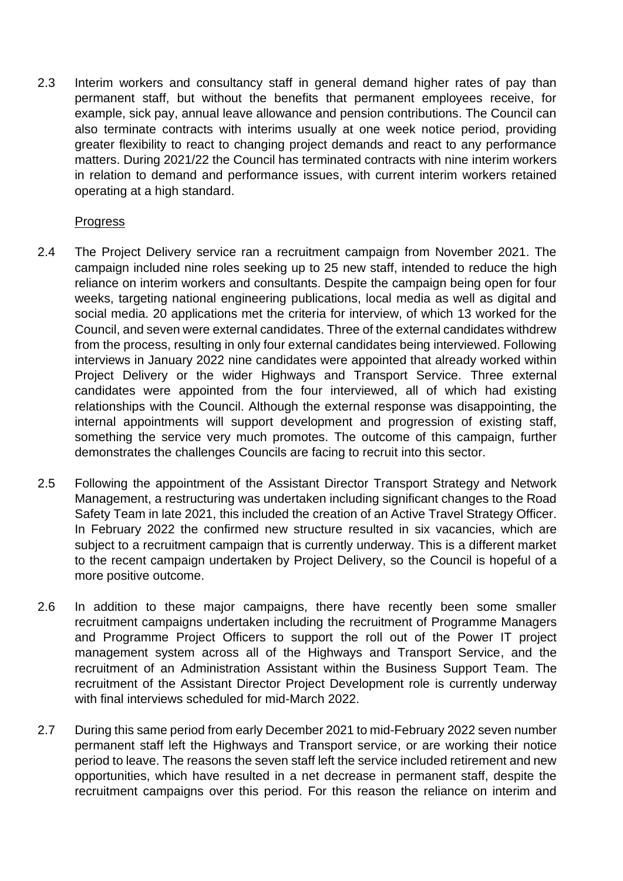2.3 Interim workers and consultancy staff in general demand higher rates of pay than permanent staff, but without the benefits that permanent employees receive, for example, sick pay, annual leave allowance and pension contributions. The Council can also terminate contracts with interims usually at one week notice period, providing greater flexibility to react to changing project demands and react to any performance matters. During 2021/22 the Council has terminated contracts with nine interim workers in relation to demand and performance issues, with current interim workers retained operating at a high standard.

#### **Progress**

- 2.4 The Project Delivery service ran a recruitment campaign from November 2021. The campaign included nine roles seeking up to 25 new staff, intended to reduce the high reliance on interim workers and consultants. Despite the campaign being open for four weeks, targeting national engineering publications, local media as well as digital and social media. 20 applications met the criteria for interview, of which 13 worked for the Council, and seven were external candidates. Three of the external candidates withdrew from the process, resulting in only four external candidates being interviewed. Following interviews in January 2022 nine candidates were appointed that already worked within Project Delivery or the wider Highways and Transport Service. Three external candidates were appointed from the four interviewed, all of which had existing relationships with the Council. Although the external response was disappointing, the internal appointments will support development and progression of existing staff, something the service very much promotes. The outcome of this campaign, further demonstrates the challenges Councils are facing to recruit into this sector.
- 2.5 Following the appointment of the Assistant Director Transport Strategy and Network Management, a restructuring was undertaken including significant changes to the Road Safety Team in late 2021, this included the creation of an Active Travel Strategy Officer. In February 2022 the confirmed new structure resulted in six vacancies, which are subject to a recruitment campaign that is currently underway. This is a different market to the recent campaign undertaken by Project Delivery, so the Council is hopeful of a more positive outcome.
- 2.6 In addition to these major campaigns, there have recently been some smaller recruitment campaigns undertaken including the recruitment of Programme Managers and Programme Project Officers to support the roll out of the Power IT project management system across all of the Highways and Transport Service, and the recruitment of an Administration Assistant within the Business Support Team. The recruitment of the Assistant Director Project Development role is currently underway with final interviews scheduled for mid-March 2022.
- 2.7 During this same period from early December 2021 to mid-February 2022 seven number permanent staff left the Highways and Transport service, or are working their notice period to leave. The reasons the seven staff left the service included retirement and new opportunities, which have resulted in a net decrease in permanent staff, despite the recruitment campaigns over this period. For this reason the reliance on interim and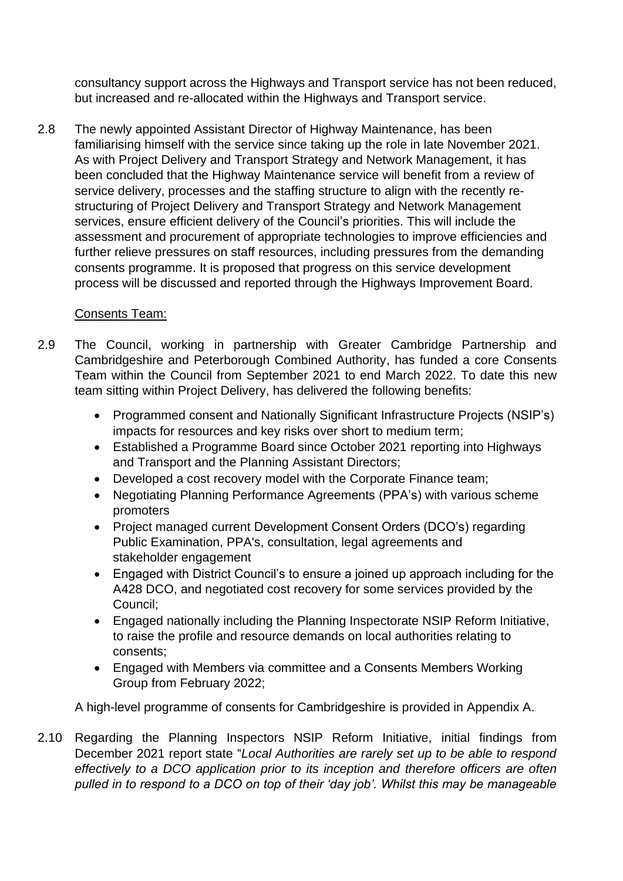consultancy support across the Highways and Transport service has not been reduced, but increased and re-allocated within the Highways and Transport service.

2.8 The newly appointed Assistant Director of Highway Maintenance, has been familiarising himself with the service since taking up the role in late November 2021. As with Project Delivery and Transport Strategy and Network Management, it has been concluded that the Highway Maintenance service will benefit from a review of service delivery, processes and the staffing structure to align with the recently restructuring of Project Delivery and Transport Strategy and Network Management services, ensure efficient delivery of the Council's priorities. This will include the assessment and procurement of appropriate technologies to improve efficiencies and further relieve pressures on staff resources, including pressures from the demanding consents programme. It is proposed that progress on this service development process will be discussed and reported through the Highways Improvement Board.

#### Consents Team:

- 2.9 The Council, working in partnership with Greater Cambridge Partnership and Cambridgeshire and Peterborough Combined Authority, has funded a core Consents Team within the Council from September 2021 to end March 2022. To date this new team sitting within Project Delivery, has delivered the following benefits:
	- Programmed consent and Nationally Significant Infrastructure Projects (NSIP's) impacts for resources and key risks over short to medium term;
	- Established a Programme Board since October 2021 reporting into Highways and Transport and the Planning Assistant Directors;
	- Developed a cost recovery model with the Corporate Finance team;
	- Negotiating Planning Performance Agreements (PPA's) with various scheme promoters
	- Project managed current Development Consent Orders (DCO's) regarding Public Examination, PPA's, consultation, legal agreements and stakeholder engagement
	- Engaged with District Council's to ensure a joined up approach including for the A428 DCO, and negotiated cost recovery for some services provided by the Council;
	- Engaged nationally including the Planning Inspectorate NSIP Reform Initiative, to raise the profile and resource demands on local authorities relating to consents;
	- Engaged with Members via committee and a Consents Members Working Group from February 2022;

A high-level programme of consents for Cambridgeshire is provided in Appendix A.

2.10 Regarding the Planning Inspectors NSIP Reform Initiative, initial findings from December 2021 report state "*Local Authorities are rarely set up to be able to respond effectively to a DCO application prior to its inception and therefore officers are often pulled in to respond to a DCO on top of their 'day job'. Whilst this may be manageable*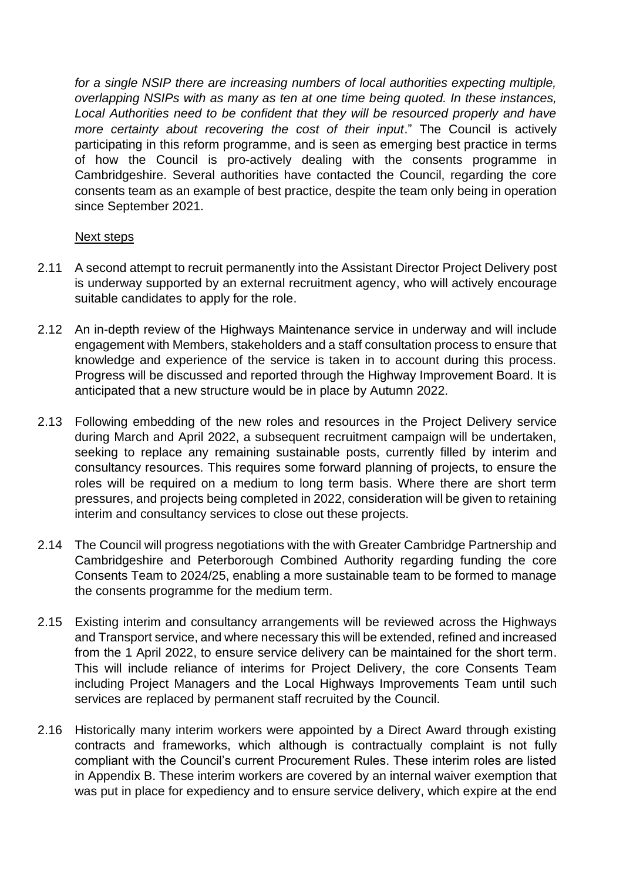*for a single NSIP there are increasing numbers of local authorities expecting multiple, overlapping NSIPs with as many as ten at one time being quoted. In these instances, Local Authorities need to be confident that they will be resourced properly and have more certainty about recovering the cost of their input*." The Council is actively participating in this reform programme, and is seen as emerging best practice in terms of how the Council is pro-actively dealing with the consents programme in Cambridgeshire. Several authorities have contacted the Council, regarding the core consents team as an example of best practice, despite the team only being in operation since September 2021.

#### Next steps

- 2.11 A second attempt to recruit permanently into the Assistant Director Project Delivery post is underway supported by an external recruitment agency, who will actively encourage suitable candidates to apply for the role.
- 2.12 An in-depth review of the Highways Maintenance service in underway and will include engagement with Members, stakeholders and a staff consultation process to ensure that knowledge and experience of the service is taken in to account during this process. Progress will be discussed and reported through the Highway Improvement Board. It is anticipated that a new structure would be in place by Autumn 2022.
- 2.13 Following embedding of the new roles and resources in the Project Delivery service during March and April 2022, a subsequent recruitment campaign will be undertaken, seeking to replace any remaining sustainable posts, currently filled by interim and consultancy resources. This requires some forward planning of projects, to ensure the roles will be required on a medium to long term basis. Where there are short term pressures, and projects being completed in 2022, consideration will be given to retaining interim and consultancy services to close out these projects.
- 2.14 The Council will progress negotiations with the with Greater Cambridge Partnership and Cambridgeshire and Peterborough Combined Authority regarding funding the core Consents Team to 2024/25, enabling a more sustainable team to be formed to manage the consents programme for the medium term.
- 2.15 Existing interim and consultancy arrangements will be reviewed across the Highways and Transport service, and where necessary this will be extended, refined and increased from the 1 April 2022, to ensure service delivery can be maintained for the short term. This will include reliance of interims for Project Delivery, the core Consents Team including Project Managers and the Local Highways Improvements Team until such services are replaced by permanent staff recruited by the Council.
- 2.16 Historically many interim workers were appointed by a Direct Award through existing contracts and frameworks, which although is contractually complaint is not fully compliant with the Council's current Procurement Rules. These interim roles are listed in Appendix B. These interim workers are covered by an internal waiver exemption that was put in place for expediency and to ensure service delivery, which expire at the end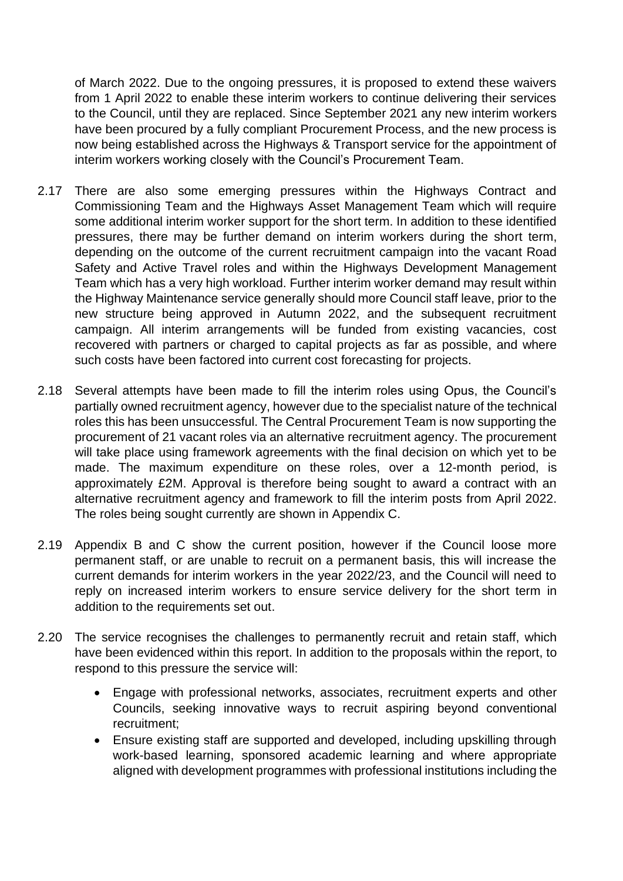of March 2022. Due to the ongoing pressures, it is proposed to extend these waivers from 1 April 2022 to enable these interim workers to continue delivering their services to the Council, until they are replaced. Since September 2021 any new interim workers have been procured by a fully compliant Procurement Process, and the new process is now being established across the Highways & Transport service for the appointment of interim workers working closely with the Council's Procurement Team.

- 2.17 There are also some emerging pressures within the Highways Contract and Commissioning Team and the Highways Asset Management Team which will require some additional interim worker support for the short term. In addition to these identified pressures, there may be further demand on interim workers during the short term, depending on the outcome of the current recruitment campaign into the vacant Road Safety and Active Travel roles and within the Highways Development Management Team which has a very high workload. Further interim worker demand may result within the Highway Maintenance service generally should more Council staff leave, prior to the new structure being approved in Autumn 2022, and the subsequent recruitment campaign. All interim arrangements will be funded from existing vacancies, cost recovered with partners or charged to capital projects as far as possible, and where such costs have been factored into current cost forecasting for projects.
- 2.18 Several attempts have been made to fill the interim roles using Opus, the Council's partially owned recruitment agency, however due to the specialist nature of the technical roles this has been unsuccessful. The Central Procurement Team is now supporting the procurement of 21 vacant roles via an alternative recruitment agency. The procurement will take place using framework agreements with the final decision on which yet to be made. The maximum expenditure on these roles, over a 12-month period, is approximately £2M. Approval is therefore being sought to award a contract with an alternative recruitment agency and framework to fill the interim posts from April 2022. The roles being sought currently are shown in Appendix C.
- 2.19 Appendix B and C show the current position, however if the Council loose more permanent staff, or are unable to recruit on a permanent basis, this will increase the current demands for interim workers in the year 2022/23, and the Council will need to reply on increased interim workers to ensure service delivery for the short term in addition to the requirements set out.
- 2.20 The service recognises the challenges to permanently recruit and retain staff, which have been evidenced within this report. In addition to the proposals within the report, to respond to this pressure the service will:
	- Engage with professional networks, associates, recruitment experts and other Councils, seeking innovative ways to recruit aspiring beyond conventional recruitment;
	- Ensure existing staff are supported and developed, including upskilling through work-based learning, sponsored academic learning and where appropriate aligned with development programmes with professional institutions including the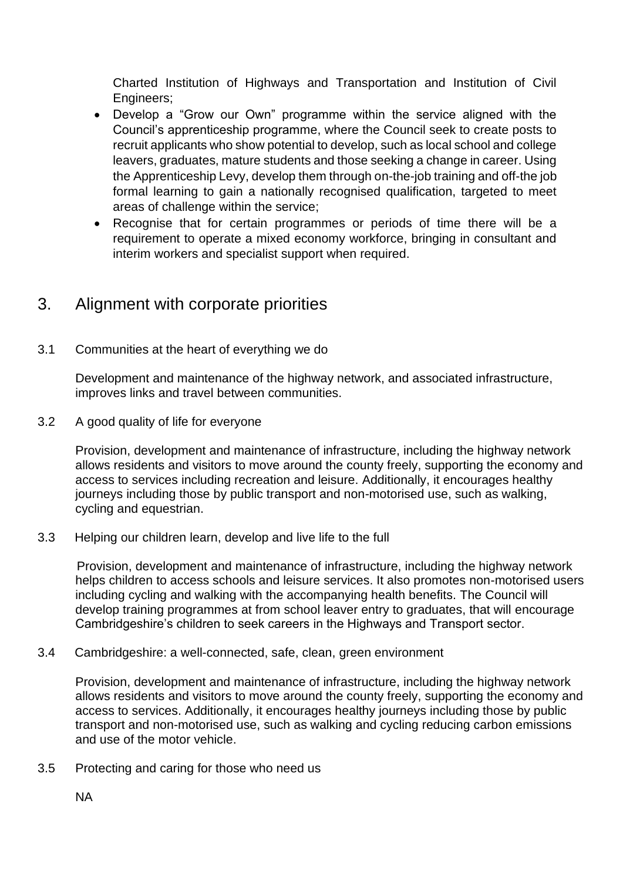Charted Institution of Highways and Transportation and Institution of Civil Engineers;

- Develop a "Grow our Own" programme within the service aligned with the Council's apprenticeship programme, where the Council seek to create posts to recruit applicants who show potential to develop, such as local school and college leavers, graduates, mature students and those seeking a change in career. Using the Apprenticeship Levy, develop them through on-the-job training and off-the job formal learning to gain a nationally recognised qualification, targeted to meet areas of challenge within the service;
- Recognise that for certain programmes or periods of time there will be a requirement to operate a mixed economy workforce, bringing in consultant and interim workers and specialist support when required.

# 3. Alignment with corporate priorities

3.1 Communities at the heart of everything we do

Development and maintenance of the highway network, and associated infrastructure, improves links and travel between communities.

3.2 A good quality of life for everyone

Provision, development and maintenance of infrastructure, including the highway network allows residents and visitors to move around the county freely, supporting the economy and access to services including recreation and leisure. Additionally, it encourages healthy journeys including those by public transport and non-motorised use, such as walking, cycling and equestrian.

3.3 Helping our children learn, develop and live life to the full

Provision, development and maintenance of infrastructure, including the highway network helps children to access schools and leisure services. It also promotes non-motorised users including cycling and walking with the accompanying health benefits. The Council will develop training programmes at from school leaver entry to graduates, that will encourage Cambridgeshire's children to seek careers in the Highways and Transport sector.

3.4 Cambridgeshire: a well-connected, safe, clean, green environment

Provision, development and maintenance of infrastructure, including the highway network allows residents and visitors to move around the county freely, supporting the economy and access to services. Additionally, it encourages healthy journeys including those by public transport and non-motorised use, such as walking and cycling reducing carbon emissions and use of the motor vehicle.

3.5 Protecting and caring for those who need us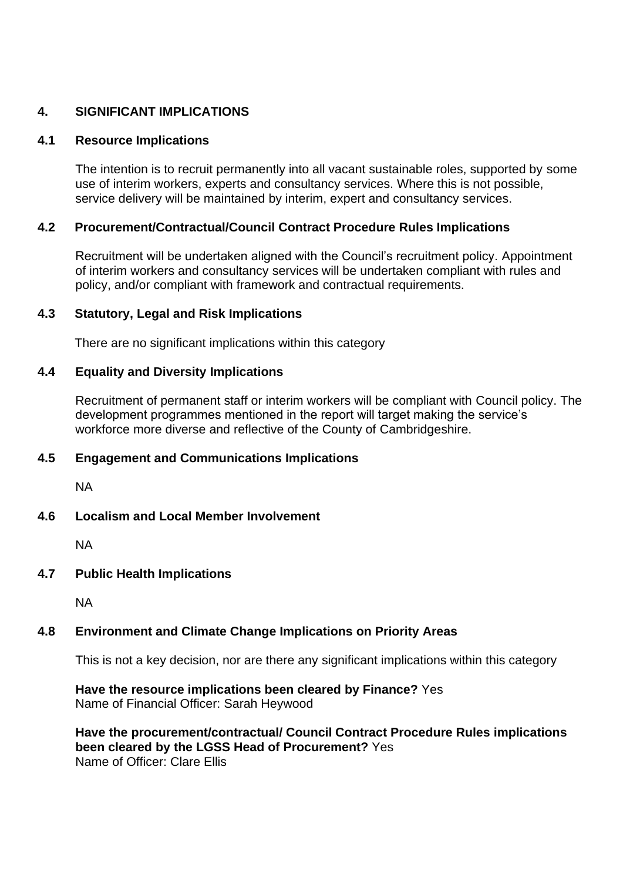#### **4. SIGNIFICANT IMPLICATIONS**

#### **4.1 Resource Implications**

The intention is to recruit permanently into all vacant sustainable roles, supported by some use of interim workers, experts and consultancy services. Where this is not possible, service delivery will be maintained by interim, expert and consultancy services.

#### **4.2 Procurement/Contractual/Council Contract Procedure Rules Implications**

Recruitment will be undertaken aligned with the Council's recruitment policy. Appointment of interim workers and consultancy services will be undertaken compliant with rules and policy, and/or compliant with framework and contractual requirements.

#### **4.3 Statutory, Legal and Risk Implications**

There are no significant implications within this category

#### **4.4 Equality and Diversity Implications**

Recruitment of permanent staff or interim workers will be compliant with Council policy. The development programmes mentioned in the report will target making the service's workforce more diverse and reflective of the County of Cambridgeshire.

#### **4.5 Engagement and Communications Implications**

NA

#### **4.6 Localism and Local Member Involvement**

NA

#### **4.7 Public Health Implications**

NA

#### **4.8 Environment and Climate Change Implications on Priority Areas**

This is not a key decision, nor are there any significant implications within this category

**Have the resource implications been cleared by Finance?** Yes Name of Financial Officer: Sarah Heywood

**Have the procurement/contractual/ Council Contract Procedure Rules implications been cleared by the LGSS Head of Procurement?** Yes Name of Officer: Clare Ellis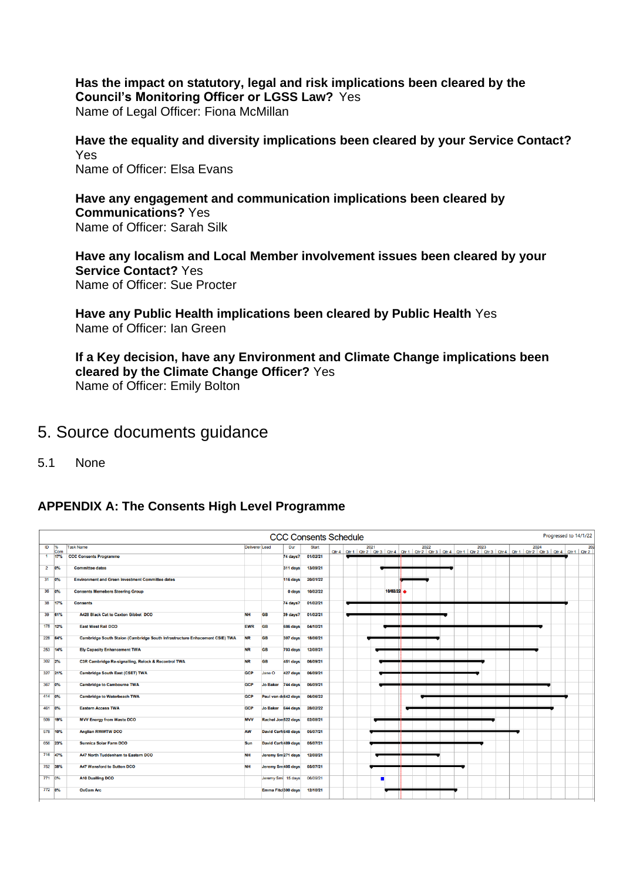**Has the impact on statutory, legal and risk implications been cleared by the Council's Monitoring Officer or LGSS Law?** Yes Name of Legal Officer: Fiona McMillan

**Have the equality and diversity implications been cleared by your Service Contact?** Yes Name of Officer: Elsa Evans

**Have any engagement and communication implications been cleared by Communications?** Yes Name of Officer: Sarah Silk

**Have any localism and Local Member involvement issues been cleared by your Service Contact?** Yes Name of Officer: Sue Procter

**Have any Public Health implications been cleared by Public Health** Yes Name of Officer: Ian Green

**If a Key decision, have any Environment and Climate Change implications been cleared by the Climate Change Officer?** Yes Name of Officer: Emily Bolton

## 5. Source documents guidance

5.1 None

#### **APPENDIX A: The Consents High Level Programme**

|                | Progressed to 14/1/22<br><b>CCC Consents Schedule</b> |                                                                             |                       |                    |                               |              |  |  |  |          |  |  |  |  |  |  |     |
|----------------|-------------------------------------------------------|-----------------------------------------------------------------------------|-----------------------|--------------------|-------------------------------|--------------|--|--|--|----------|--|--|--|--|--|--|-----|
| ID             | %<br>Com                                              | <b>Task Name</b>                                                            | <b>Deliverer</b> Lead |                    | Dur                           | <b>Start</b> |  |  |  |          |  |  |  |  |  |  | 202 |
| $\blacksquare$ | 17%                                                   | <b>CCC Consents Programme</b>                                               |                       |                    | 74 days?                      | 01/02/21     |  |  |  |          |  |  |  |  |  |  |     |
|                | $2 - 0\%$                                             | <b>Committee dates</b>                                                      |                       |                    | 311 days                      | 13/09/21     |  |  |  |          |  |  |  |  |  |  |     |
|                | 31 0%                                                 | <b>Environment and Green Investment Committee dates</b>                     |                       |                    | 116 days                      | 20/01/22     |  |  |  |          |  |  |  |  |  |  |     |
|                | 36 0%                                                 | <b>Consents Memebers Steering Group</b>                                     |                       |                    | 0 days                        | 10/02/22     |  |  |  | 10/02/22 |  |  |  |  |  |  |     |
| 38             | 17%                                                   | <b>Consents</b>                                                             |                       |                    | 74 days?                      | 01/02/21     |  |  |  |          |  |  |  |  |  |  |     |
|                | 39 61%                                                | <b>A428 Black Cat to Caxton Gibbet DCO</b>                                  | <b>NH</b>             | <b>GB</b>          | 39 days?                      | 01/02/21     |  |  |  |          |  |  |  |  |  |  |     |
|                | 178 12%                                               | <b>East West Rail DCO</b>                                                   | <b>EWR</b>            | <b>GB</b>          | 686 days                      | 04/10/21     |  |  |  |          |  |  |  |  |  |  |     |
|                | 228 64%                                               | Cambridge South Staion (Cambridge South Infrastructure Enhacement CSIE) TWA | <b>NR</b>             | <b>GB</b>          | 307 days                      | 18/06/21     |  |  |  |          |  |  |  |  |  |  |     |
| 253            | 14%                                                   | <b>Ely Capacity Enhancement TWA</b>                                         | <b>NR</b>             | <b>GB</b>          | 703 days                      | 12/08/21     |  |  |  |          |  |  |  |  |  |  |     |
| 302 2%         |                                                       | C3R Cambridge Re-signalling, Relock & Recontrol TWA                         | <b>NR</b>             | <b>GB</b>          | 451 days                      | 06/09/21     |  |  |  |          |  |  |  |  |  |  |     |
|                | 327 21%                                               | <b>Cambridge South East (CSET) TWA</b>                                      | <b>GCP</b>            | Jane O             | 427 days                      | 06/09/21     |  |  |  |          |  |  |  |  |  |  |     |
| 367 0%         |                                                       | <b>Cambridge to Cambourne TWA</b>                                           | <b>GCP</b>            | <b>Jo Baker</b>    | 744 days                      | 06/09/21     |  |  |  |          |  |  |  |  |  |  |     |
| 414 0%         |                                                       | <b>Cambridge to Waterbeach TWA</b>                                          | <b>GCP</b>            |                    | Paul van de642 days           | 06/06/22     |  |  |  |          |  |  |  |  |  |  |     |
| 461 0%         |                                                       | <b>Eastern Access TWA</b>                                                   | <b>GCP</b>            | Jo Baker 644 days  |                               | 28/02/22     |  |  |  |          |  |  |  |  |  |  |     |
|                | 509 19%                                               | <b>MVV Energy from Waste DCO</b>                                            | <b>MVV</b>            |                    | Rachel Jon522 days            | 02/08/21     |  |  |  |          |  |  |  |  |  |  |     |
|                |                                                       |                                                                             |                       |                    |                               | 05/07/21     |  |  |  |          |  |  |  |  |  |  |     |
|                | 578 10%                                               | <b>Anglian RWWTW DCO</b>                                                    | <b>AW</b>             |                    | <b>David Carfc648 days</b>    |              |  |  |  |          |  |  |  |  |  |  |     |
|                | 656 23%                                               | <b>Sunnica Solar Farm DCO</b>                                               | Sun                   |                    | <b>David Carfc489 days</b>    | 05/07/21     |  |  |  |          |  |  |  |  |  |  |     |
|                | 716 47%                                               | A47 North Tuddenham to Eastern DCO                                          | <b>NH</b>             |                    | Jeremy Sm <sub>271</sub> days | 12/08/21     |  |  |  |          |  |  |  |  |  |  |     |
|                | 752 38%                                               | <b>A47 Wansford to Sutton DCO</b>                                           | <b>NH</b>             | Jeremy Sm 405 days |                               | 05/07/21     |  |  |  |          |  |  |  |  |  |  |     |
| 771 0%         |                                                       | <b>A10 Dualling DCO</b>                                                     |                       |                    | Jeremy Smi 15 days            | 06/09/21     |  |  |  |          |  |  |  |  |  |  |     |
| 772 0%         |                                                       | <b>OxCam Arc</b>                                                            |                       |                    | Emma Fitci300 days            | 12/10/21     |  |  |  |          |  |  |  |  |  |  |     |